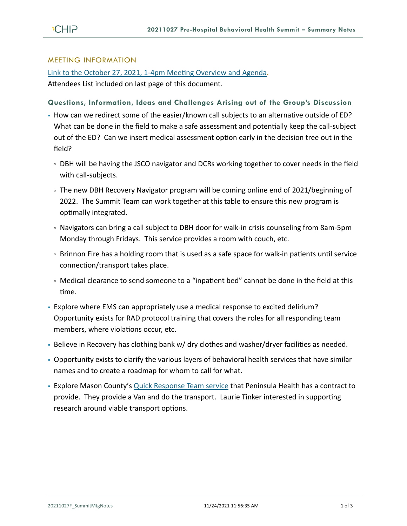#### MEETING INFORMATION

[Link to the October 27, 2021, 1-4pm Meeting Overview and Agenda.](https://793b0af6-bf22-4c2c-91c8-8cc6fd2f172d.filesusr.com/ugd/2fdcdd_6f43d58f35ec4a748a71ea072a5923f0.pdf)

Attendees List included on last page of this document.

# **Questions, Information, Ideas and Challenges Arising out of the Group's Discussion**

- How can we redirect some of the easier/known call subjects to an alternative outside of ED? What can be done in the field to make a safe assessment and potentially keep the call-subject out of the ED? Can we insert medical assessment option early in the decision tree out in the field?
	- DBH will be having the JSCO navigator and DCRs working together to cover needs in the field with call-subjects.
	- The new DBH Recovery Navigator program will be coming online end of 2021/beginning of 2022. The Summit Team can work together at this table to ensure this new program is optimally integrated.
	- Navigators can bring a call subject to DBH door for walk-in crisis counseling from 8am-5pm Monday through Fridays. This service provides a room with couch, etc.
	- Brinnon Fire has a holding room that is used as a safe space for walk-in patients until service connection/transport takes place.
	- Medical clearance to send someone to a "inpatient bed" cannot be done in the field at this time.
- Explore where EMS can appropriately use a medical response to excited delirium? Opportunity exists for RAD protocol training that covers the roles for all responding team members, where violations occur, etc.
- Believe in Recovery has clothing bank w/ dry clothes and washer/dryer facilities as needed.
- Opportunity exists to clarify the various layers of behavioral health services that have similar names and to create a roadmap for whom to call for what.
- **Explore Mason County's [Quick Response Team service](https://www.pchsweb.org/locations/quick-response-team-qrt/) that Peninsula Health has a contract to** provide. They provide a Van and do the transport. Laurie Tinker interested in supporting research around viable transport options.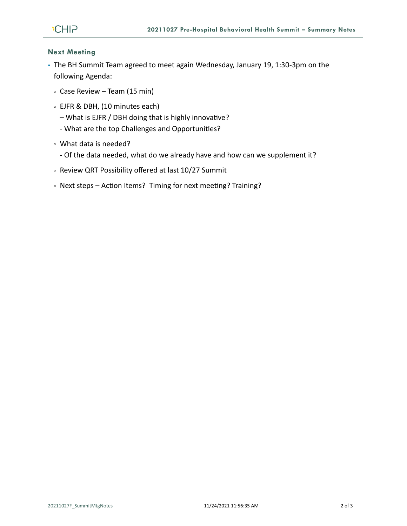

### **Next Meeting**

- The BH Summit Team agreed to meet again Wednesday, January 19, 1:30-3pm on the following Agenda:
	- Case Review Team (15 min)
	- EJFR & DBH, (10 minutes each)
		- What is EJFR / DBH doing that is highly innovative?
		- What are the top Challenges and Opportunities?
	- What data is needed?
		- Of the data needed, what do we already have and how can we supplement it?
	- Review QRT Possibility offered at last 10/27 Summit
	- Next steps Action Items? Timing for next meeting? Training?